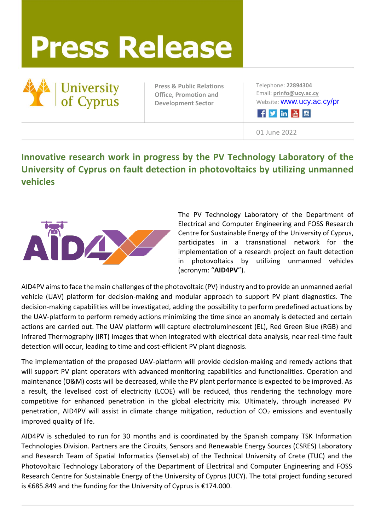## **Press Release**



**Press & Public Relations Office, Promotion and Development Sector**

Telephone: **22894304** Email: **[prinfo@ucy.ac.cy](mailto:prinfo@ucy.ac.cy)** Website: [www.ucy.ac.cy/pr](http://www.ucy.ac.cy/pr)

Fyine

01 June 2022

## **Innovative research work in progress by the PV Technology Laboratory of the University of Cyprus on fault detection in photovoltaics by utilizing unmanned vehicles**



The PV Technology Laboratory of the Department of Electrical and Computer Engineering and FOSS Research Centre for Sustainable Energy of the University of Cyprus, participates in a transnational network for the implementation of a research project on fault detection in photovoltaics by utilizing unmanned vehicles (acronym: "**AID4PV**").

AID4PV aimsto face the main challenges of the photovoltaic (PV) industry and to provide an unmanned aerial vehicle (UAV) platform for decision-making and modular approach to support PV plant diagnostics. The decision-making capabilities will be investigated, adding the possibility to perform predefined actuations by the UAV-platform to perform remedy actions minimizing the time since an anomaly is detected and certain actions are carried out. The UAV platform will capture electroluminescent (EL), Red Green Blue (RGB) and Infrared Thermography (IRT) images that when integrated with electrical data analysis, near real-time fault detection will occur, leading to time and cost-efficient PV plant diagnosis.

The implementation of the proposed UAV-platform will provide decision-making and remedy actions that will support PV plant operators with advanced monitoring capabilities and functionalities. Operation and maintenance (O&M) costs will be decreased, while the PV plant performance is expected to be improved. As a result, the levelised cost of electricity (LCOE) will be reduced, thus rendering the technology more competitive for enhanced penetration in the global electricity mix. Ultimately, through increased PV penetration, AID4PV will assist in climate change mitigation, reduction of  $CO<sub>2</sub>$  emissions and eventually improved quality of life.

AID4PV is scheduled to run for 30 months and is coordinated by the Spanish company TSK Information Technologies Division. Partners are the Circuits, Sensors and Renewable Energy Sources (CSRES) Laboratory and Research Team of Spatial Informatics (SenseLab) of the Technical University of Crete (TUC) and the Photovoltaic Technology Laboratory of the Department of Electrical and Computer Engineering and FOSS Research Centre for Sustainable Energy of the University of Cyprus (UCY). The total project funding secured is €685.849 and the funding for the University of Cyprus is €174.000.